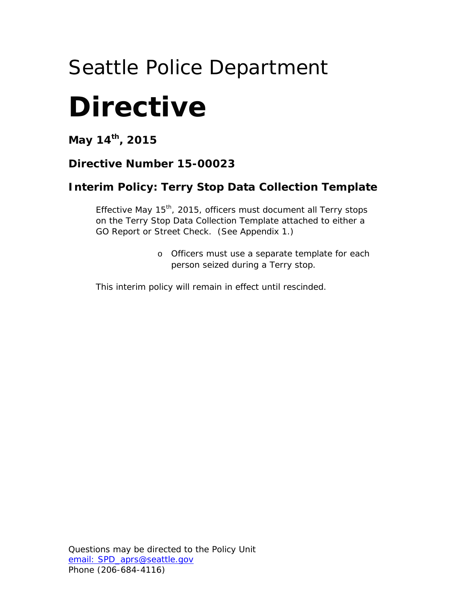# Seattle Police Department

# **Directive**

**May 14th, 2015**

### **Directive Number 15-00023**

## **Interim Policy:** *Terry* **Stop Data Collection Template**

Effective May 15<sup>th</sup>, 2015, officers must document all *Terry* stops on the *Terry* Stop Data Collection Template attached to either a GO Report or Street Check. (See Appendix 1.)

> o Officers must use a separate template for each person seized during a *Terry* stop.

This interim policy will remain in effect until rescinded.